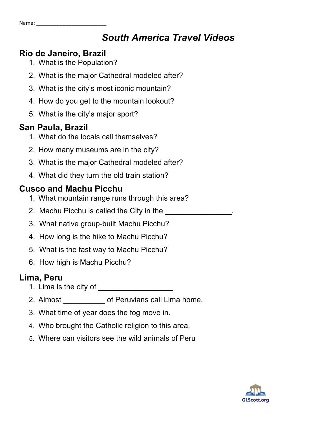## **Rio de Janeiro, Brazil**

- 1. What is the Population?
- 2. What is the major Cathedral modeled after?
- 3. What is the city's most iconic mountain?
- 4. How do you get to the mountain lookout?
- 5. What is the city's major sport?

## **San Paula, Brazil**

- 1. What do the locals call themselves?
- 2. How many museums are in the city?
- 3. What is the major Cathedral modeled after?
- 4. What did they turn the old train station?

## **Cusco and Machu Picchu**

- 1. What mountain range runs through this area?
- 2. Machu Picchu is called the City in the
- 3. What native group-built Machu Picchu?
- 4. How long is the hike to Machu Picchu?
- 5. What is the fast way to Machu Picchu?
- 6. How high is Machu Picchu?

# **Lima, Peru**

- 1. Lima is the city of
- 2. Almost **come of Peruvians call Lima home.**
- 3. What time of year does the fog move in.
- 4. Who brought the Catholic religion to this area.
- 5. Where can visitors see the wild animals of Peru

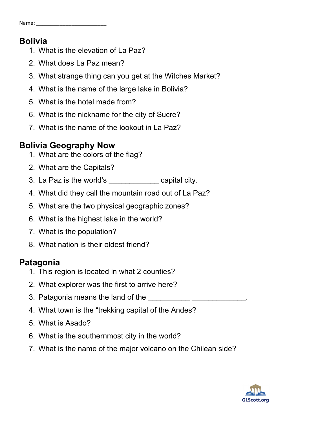#### **Bolivia**

- 1. What is the elevation of La Paz?
- 2. What does La Paz mean?
- 3. What strange thing can you get at the Witches Market?
- 4. What is the name of the large lake in Bolivia?
- 5. What is the hotel made from?
- 6. What is the nickname for the city of Sucre?
- 7. What is the name of the lookout in La Paz?

## **Bolivia Geography Now**

- 1. What are the colors of the flag?
- 2. What are the Capitals?
- 3. La Paz is the world's \_\_\_\_\_\_\_\_\_\_\_\_ capital city.
- 4. What did they call the mountain road out of La Paz?
- 5. What are the two physical geographic zones?
- 6. What is the highest lake in the world?
- 7. What is the population?
- 8. What nation is their oldest friend?

## **Patagonia**

- 1. This region is located in what 2 counties?
- 2. What explorer was the first to arrive here?
- 3. Patagonia means the land of the
- 4. What town is the "trekking capital of the Andes?
- 5. What is Asado?
- 6. What is the southernmost city in the world?
- 7. What is the name of the major volcano on the Chilean side?